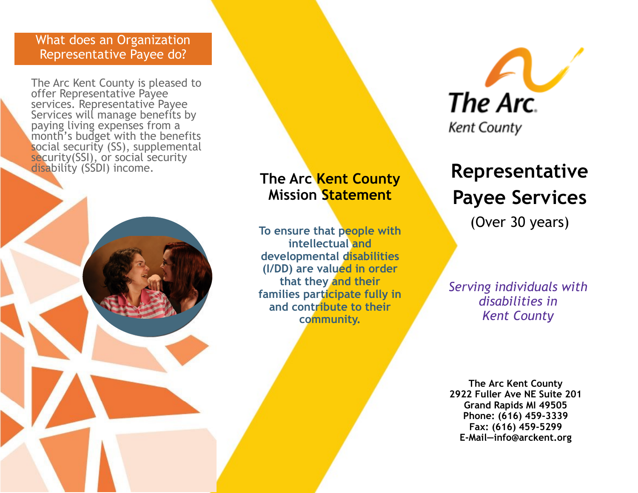## What does an Organization Representative Payee do?

The Arc Kent County is pleased to offer Representative Payee services. Representative Payee Services will manage benefits by paying living expenses from a month's budget with the benefits social security (SS), supplemental security(SSI), or social security disability (SSDI) income.

## **The Arc Kent County Mission Statement**

**To ensure that people with intellectual and developmental disabilities (I/DD) are valued in order that they and their families participate fully in and contribute to their community.** 



## **Representative Payee Services**

(Over 30 years)

*Serving individuals with disabilities in Kent County*

**The Arc Kent County 2922 Fuller Ave NE Suite 201 Grand Rapids MI 49505 Phone: (616) 459-3339 Fax: (616) 459-5299 E-Mail—info@arckent.org**